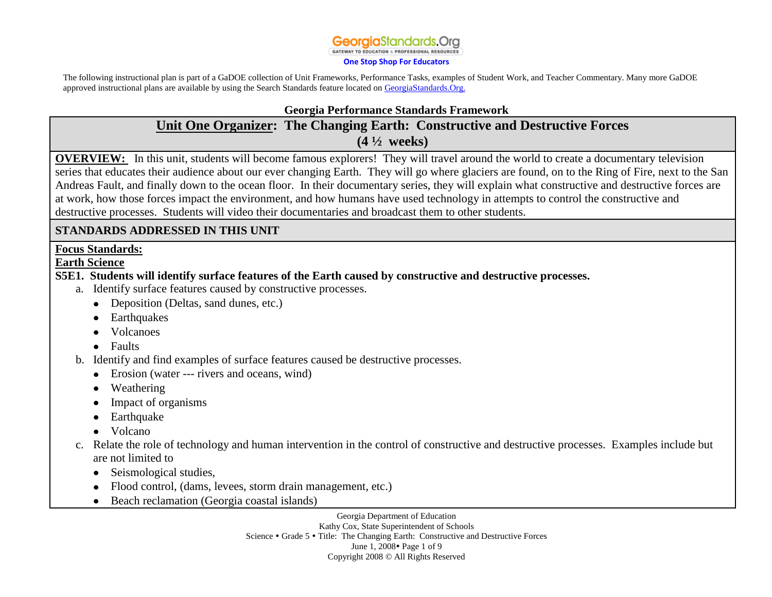**GATEWAY TO EDUCATION & PROFESSIONAL RESOURCES** 

#### **[One Stop Shop For Educators](http://www.georgiastandards.org)**

The following instructional plan is part of a GaDOE collection of Unit Frameworks, Performance Tasks, examples of Student Work, and Teacher Commentary. Many more GaDOE approved instructional plans are available by using the Search Standards feature located o[n GeorgiaStandards.Org.](http://www.georgiastandards.org)

#### **Georgia Performance Standards Framework**

# **Unit One Organizer: The Changing Earth: Constructive and Destructive Forces (4 ½ weeks)**

**OVERVIEW:** In this unit, students will become famous explorers! They will travel around the world to create a documentary television series that educates their audience about our ever changing Earth. They will go where glaciers are found, on to the Ring of Fire, next to the San Andreas Fault, and finally down to the ocean floor. In their documentary series, they will explain what constructive and destructive forces are at work, how those forces impact the environment, and how humans have used technology in attempts to control the constructive and destructive processes. Students will video their documentaries and broadcast them to other students.

# **STANDARDS ADDRESSED IN THIS UNIT**

### **Focus Standards:**

#### **Earth Science**

# **S5E1. Students will identify surface features of the Earth caused by constructive and destructive processes.**

- a. Identify surface features caused by constructive processes.
	- Deposition (Deltas, sand dunes, etc.)
	- Earthquakes
	- Volcanoes
	- Faults
- b. Identify and find examples of surface features caused be destructive processes.
	- Erosion (water --- rivers and oceans, wind)
	- Weathering
	- Impact of organisms
	- Earthquake
	- Volcano
- c. Relate the role of technology and human intervention in the control of constructive and destructive processes. Examples include but are not limited to
	- Seismological studies,
	- Flood control, (dams, levees, storm drain management, etc.)
	- Beach reclamation (Georgia coastal islands)

Georgia Department of Education Kathy Cox, State Superintendent of Schools Science • Grade 5 • Title: The Changing Earth: Constructive and Destructive Forces June 1, 2008 • Page 1 of 9 Copyright 2008 © All Rights Reserved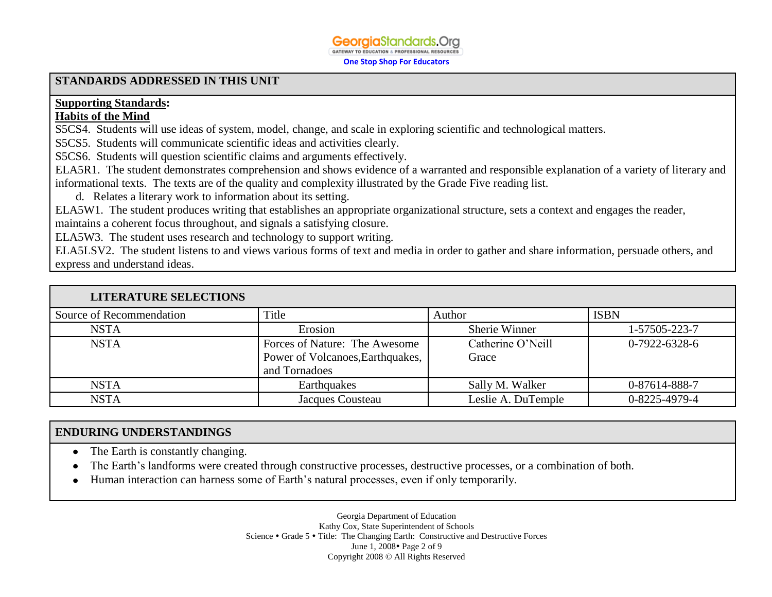#### **Georgia**Standards.Org **GATEWAY TO EDUCATION & PROFESSIONAL RESOURCES**

**One Stop Shop For Educators**

#### **STANDARDS ADDRESSED IN THIS UNIT**

# **Supporting Standards:**

## **Habits of the Mind**

S5CS4. Students will use ideas of system, model, change, and scale in exploring scientific and technological matters.

S5CS5. Students will communicate scientific ideas and activities clearly.

S5CS6. Students will question scientific claims and arguments effectively.

ELA5R1. The student demonstrates comprehension and shows evidence of a warranted and responsible explanation of a variety of literary and informational texts. The texts are of the quality and complexity illustrated by the Grade Five reading list.

d. Relates a literary work to information about its setting.

ELA5W1. The student produces writing that establishes an appropriate organizational structure, sets a context and engages the reader, maintains a coherent focus throughout, and signals a satisfying closure.

ELA5W3. The student uses research and technology to support writing.

ELA5LSV2. The student listens to and views various forms of text and media in order to gather and share information, persuade others, and express and understand ideas.

| <b>LITERATURE SELECTIONS</b> |                                  |                    |                 |
|------------------------------|----------------------------------|--------------------|-----------------|
| Source of Recommendation     | Title                            | Author             | <b>ISBN</b>     |
| <b>NSTA</b>                  | Erosion                          | Sherie Winner      | 1-57505-223-7   |
| <b>NSTA</b>                  | Forces of Nature: The Awesome    | Catherine O'Neill  | $0-7922-6328-6$ |
|                              | Power of Volcanoes, Earthquakes, | Grace              |                 |
|                              | and Tornadoes                    |                    |                 |
| <b>NSTA</b>                  | Earthquakes                      | Sally M. Walker    | 0-87614-888-7   |
| <b>NSTA</b>                  | Jacques Cousteau                 | Leslie A. DuTemple | 0-8225-4979-4   |

# **ENDURING UNDERSTANDINGS**

- The Earth is constantly changing.
- The Earth's landforms were created through constructive processes, destructive processes, or a combination of both.
- Human interaction can harness some of Earth's natural processes, even if only temporarily.

Georgia Department of Education Kathy Cox, State Superintendent of Schools Science • Grade 5 • Title: The Changing Earth: Constructive and Destructive Forces June 1, 2008 • Page 2 of 9 Copyright 2008 © All Rights Reserved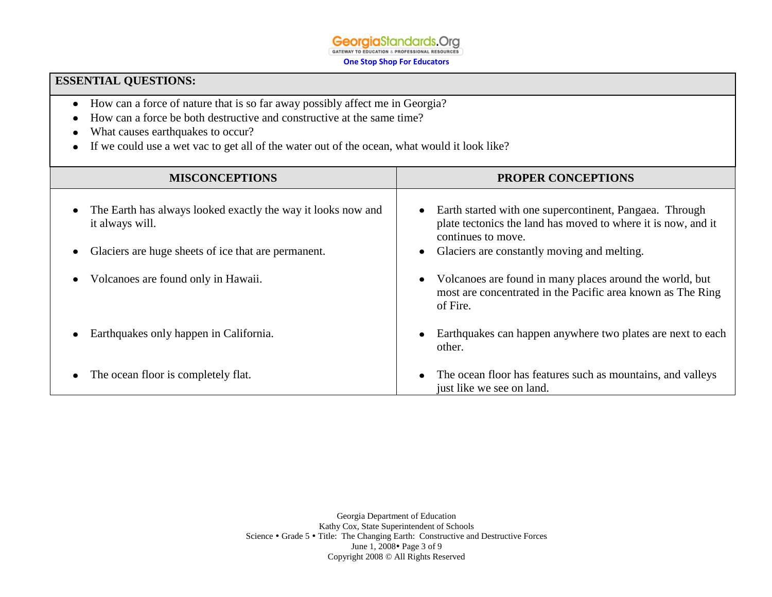**Georgia**Standards.Org GATEWAY TO EDUCATION & PROFESSIONAL RESOURCES

**One Stop Shop For Educators**

# **ESSENTIAL QUESTIONS:**

- How can a force of nature that is so far away possibly affect me in Georgia?
- How can a force be both destructive and constructive at the same time?
- What causes earthquakes to occur?  $\bullet$
- If we could use a wet vac to get all of the water out of the ocean, what would it look like?

| <b>MISCONCEPTIONS</b>                                                           | <b>PROPER CONCEPTIONS</b>                                                                                                                                   |  |  |
|---------------------------------------------------------------------------------|-------------------------------------------------------------------------------------------------------------------------------------------------------------|--|--|
| The Earth has always looked exactly the way it looks now and<br>it always will. | Earth started with one supercontinent, Pangaea. Through<br>$\bullet$<br>plate tectonics the land has moved to where it is now, and it<br>continues to move. |  |  |
| Glaciers are huge sheets of ice that are permanent.                             | Glaciers are constantly moving and melting.                                                                                                                 |  |  |
| Volcanoes are found only in Hawaii.                                             | Volcanoes are found in many places around the world, but<br>most are concentrated in the Pacific area known as The Ring<br>of Fire.                         |  |  |
| Earthquakes only happen in California.                                          | Earthquakes can happen anywhere two plates are next to each<br>other.                                                                                       |  |  |
| The ocean floor is completely flat.                                             | The ocean floor has features such as mountains, and valleys<br>just like we see on land.                                                                    |  |  |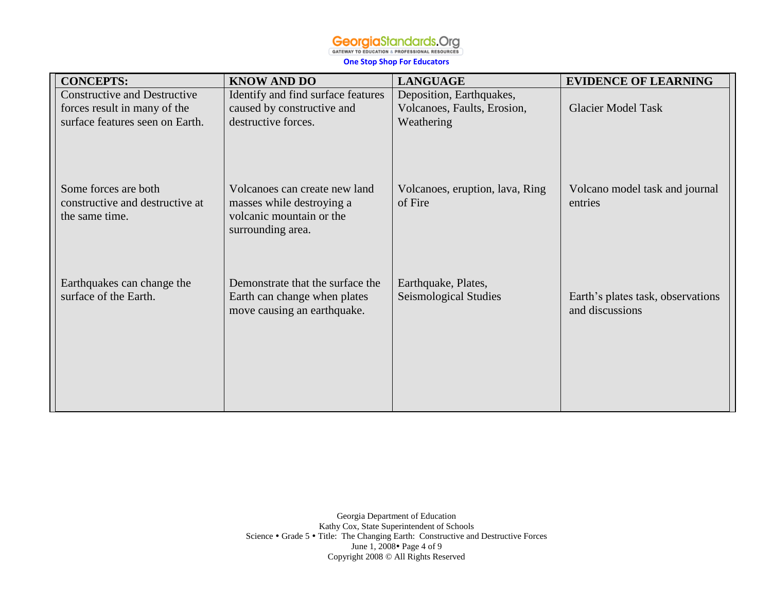**One Stop Shop For Educators**

| <b>KNOW AND DO</b>                                                                                          | <b>LANGUAGE</b>                              | <b>EVIDENCE OF LEARNING</b>                          |
|-------------------------------------------------------------------------------------------------------------|----------------------------------------------|------------------------------------------------------|
| Identify and find surface features                                                                          | Deposition, Earthquakes,                     |                                                      |
| caused by constructive and                                                                                  | Volcanoes, Faults, Erosion,                  | <b>Glacier Model Task</b>                            |
| destructive forces.                                                                                         | Weathering                                   |                                                      |
| Volcanoes can create new land<br>masses while destroying a<br>volcanic mountain or the<br>surrounding area. | Volcanoes, eruption, lava, Ring<br>of Fire   | Volcano model task and journal<br>entries            |
| Demonstrate that the surface the<br>Earth can change when plates<br>move causing an earthquake.             | Earthquake, Plates,<br>Seismological Studies | Earth's plates task, observations<br>and discussions |
|                                                                                                             |                                              |                                                      |

Georgia Department of Education Kathy Cox, State Superintendent of Schools Science • Grade 5 • Title: The Changing Earth: Constructive and Destructive Forces June 1, 2008 • Page 4 of 9 Copyright 2008 © All Rights Reserved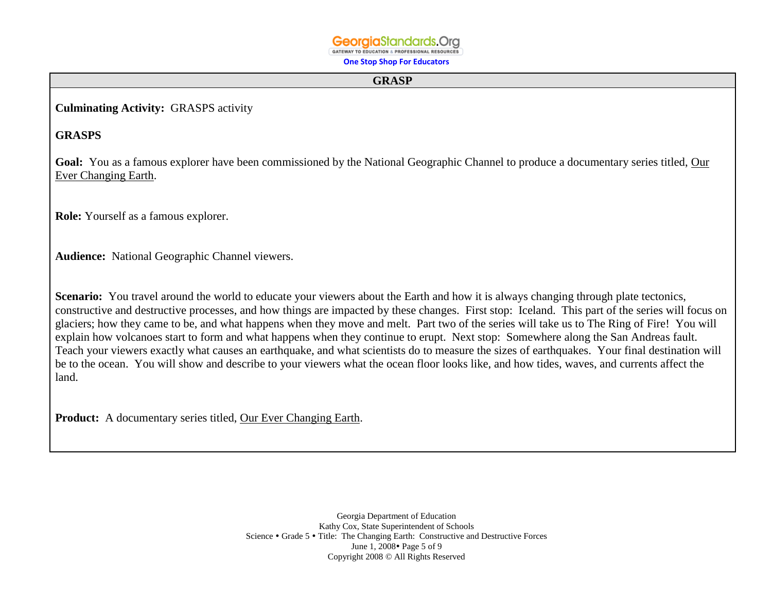**GATEWAY TO EDUCATION & PROFESSIONAL RESOURCES One Stop Shop For Educators**

#### **GRASP**

**Culminating Activity:** GRASPS activity

# **GRASPS**

Goal: You as a famous explorer have been commissioned by the National Geographic Channel to produce a documentary series titled, Our Ever Changing Earth.

**Role:** Yourself as a famous explorer.

**Audience:** National Geographic Channel viewers.

**Scenario:** You travel around the world to educate your viewers about the Earth and how it is always changing through plate tectonics, constructive and destructive processes, and how things are impacted by these changes. First stop: Iceland. This part of the series will focus on glaciers; how they came to be, and what happens when they move and melt. Part two of the series will take us to The Ring of Fire! You will explain how volcanoes start to form and what happens when they continue to erupt. Next stop: Somewhere along the San Andreas fault. Teach your viewers exactly what causes an earthquake, and what scientists do to measure the sizes of earthquakes. Your final destination will be to the ocean. You will show and describe to your viewers what the ocean floor looks like, and how tides, waves, and currents affect the land.

**Product:** A documentary series titled, Our Ever Changing Earth.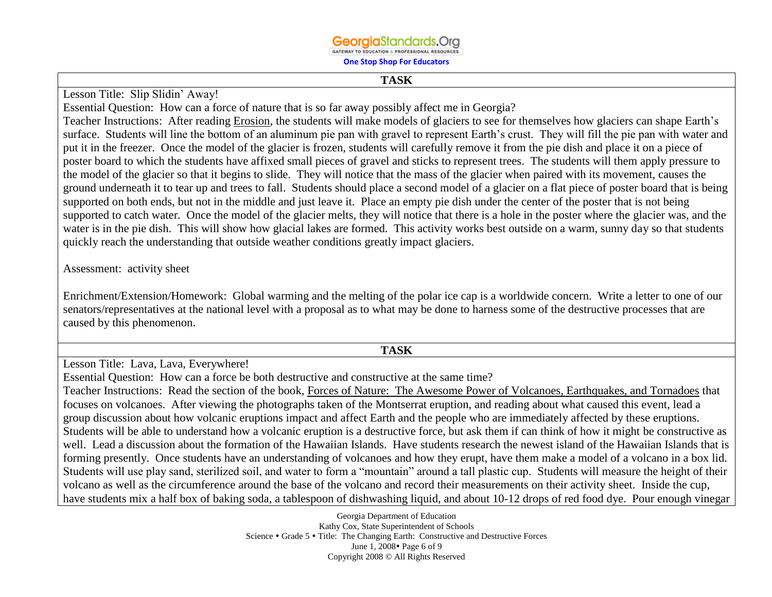# **Georaia**Standards.Ora

GATEWAY TO EDUCATION & PROFESSIONAL RESOURCES

**One Stop Shop For Educators**

#### **TASK**

Lesson Title: Slip Slidin' Away!

Essential Question: How can a force of nature that is so far away possibly affect me in Georgia?

Teacher Instructions: After reading Erosion, the students will make models of glaciers to see for themselves how glaciers can shape Earth's surface. Students will line the bottom of an aluminum pie pan with gravel to represent Earth's crust. They will fill the pie pan with water and put it in the freezer. Once the model of the glacier is frozen, students will carefully remove it from the pie dish and place it on a piece of poster board to which the students have affixed small pieces of gravel and sticks to represent trees. The students will them apply pressure to the model of the glacier so that it begins to slide. They will notice that the mass of the glacier when paired with its movement, causes the ground underneath it to tear up and trees to fall. Students should place a second model of a glacier on a flat piece of poster board that is being supported on both ends, but not in the middle and just leave it. Place an empty pie dish under the center of the poster that is not being supported to catch water. Once the model of the glacier melts, they will notice that there is a hole in the poster where the glacier was, and the water is in the pie dish. This will show how glacial lakes are formed. This activity works best outside on a warm, sunny day so that students quickly reach the understanding that outside weather conditions greatly impact glaciers.

### Assessment: activity sheet

Enrichment/Extension/Homework: Global warming and the melting of the polar ice cap is a worldwide concern. Write a letter to one of our senators/representatives at the national level with a proposal as to what may be done to harness some of the destructive processes that are caused by this phenomenon.

#### **TASK**

Lesson Title: Lava, Lava, Everywhere!

Essential Question: How can a force be both destructive and constructive at the same time?

Teacher Instructions: Read the section of the book, Forces of Nature: The Awesome Power of Volcanoes, Earthquakes, and Tornadoes that focuses on volcanoes. After viewing the photographs taken of the Montserrat eruption, and reading about what caused this event, lead a group discussion about how volcanic eruptions impact and affect Earth and the people who are immediately affected by these eruptions. Students will be able to understand how a volcanic eruption is a destructive force, but ask them if can think of how it might be constructive as well. Lead a discussion about the formation of the Hawaiian Islands. Have students research the newest island of the Hawaiian Islands that is forming presently. Once students have an understanding of volcanoes and how they erupt, have them make a model of a volcano in a box lid. Students will use play sand, sterilized soil, and water to form a "mountain" around a tall plastic cup. Students will measure the height of their volcano as well as the circumference around the base of the volcano and record their measurements on their activity sheet. Inside the cup, have students mix a half box of baking soda, a tablespoon of dishwashing liquid, and about 10-12 drops of red food dye. Pour enough vinegar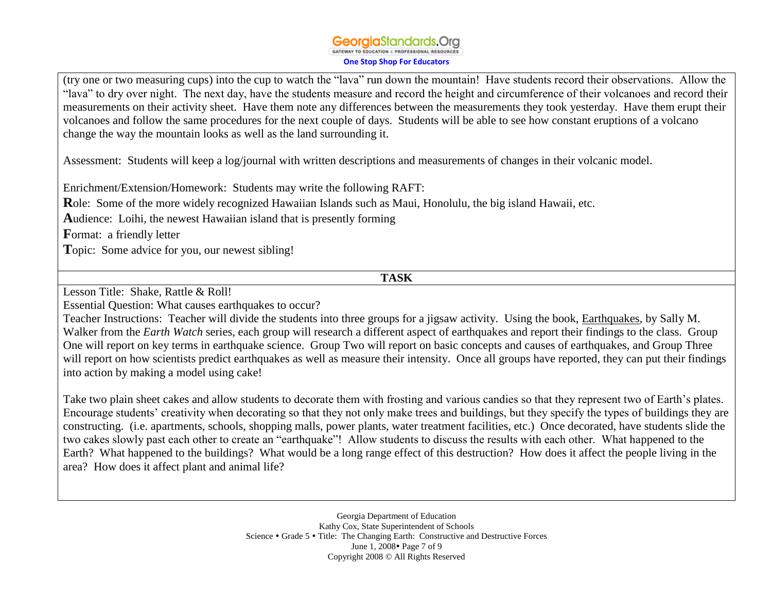(try one or two measuring cups) into the cup to watch the "lava" run down the mountain! Have students record their observations. Allow the "lava" to dry over night. The next day, have the students measure and record the height and circumference of their volcanoes and record their measurements on their activity sheet. Have them note any differences between the measurements they took yesterday. Have them erupt their volcanoes and follow the same procedures for the next couple of days. Students will be able to see how constant eruptions of a volcano change the way the mountain looks as well as the land surrounding it.

Assessment: Students will keep a log/journal with written descriptions and measurements of changes in their volcanic model.

Enrichment/Extension/Homework: Students may write the following RAFT:

**R**ole: Some of the more widely recognized Hawaiian Islands such as Maui, Honolulu, the big island Hawaii, etc.

**A**udience: Loihi, the newest Hawaiian island that is presently forming

**F**ormat: a friendly letter

**T**opic: Some advice for you, our newest sibling!

**TASK**

Lesson Title: Shake, Rattle & Roll!

Essential Question: What causes earthquakes to occur?

Teacher Instructions: Teacher will divide the students into three groups for a jigsaw activity. Using the book, Earthquakes, by Sally M. Walker from the *Earth Watch* series, each group will research a different aspect of earthquakes and report their findings to the class. Group One will report on key terms in earthquake science. Group Two will report on basic concepts and causes of earthquakes, and Group Three will report on how scientists predict earthquakes as well as measure their intensity. Once all groups have reported, they can put their findings into action by making a model using cake!

Take two plain sheet cakes and allow students to decorate them with frosting and various candies so that they represent two of Earth's plates. Encourage students' creativity when decorating so that they not only make trees and buildings, but they specify the types of buildings they are constructing. (i.e. apartments, schools, shopping malls, power plants, water treatment facilities, etc.) Once decorated, have students slide the two cakes slowly past each other to create an "earthquake"! Allow students to discuss the results with each other. What happened to the Earth? What happened to the buildings? What would be a long range effect of this destruction? How does it affect the people living in the area? How does it affect plant and animal life?

> Georgia Department of Education Kathy Cox, State Superintendent of Schools Science • Grade 5 • Title: The Changing Earth: Constructive and Destructive Forces June 1, 2008 • Page 7 of 9 Copyright 2008 © All Rights Reserved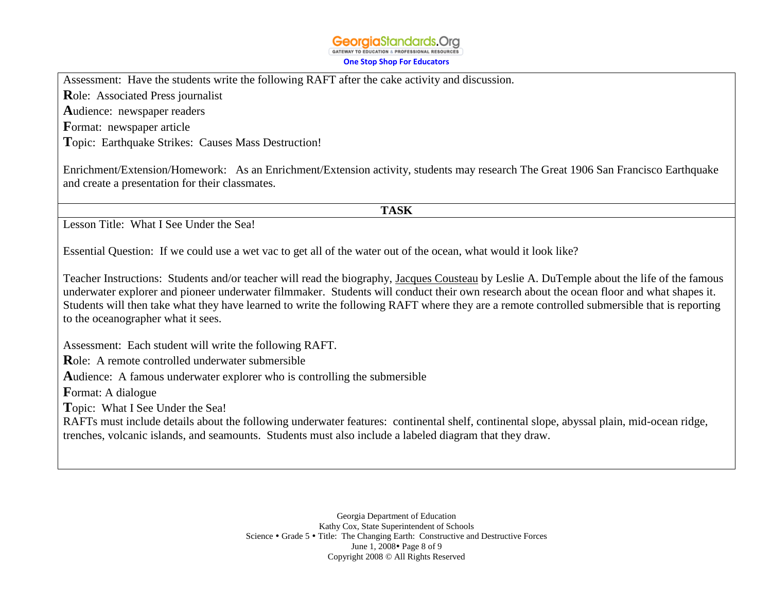#### **Georgia**Standards.Org GATEWAY TO EDUCATION & PROFESSIONAL RESOURCES **One Stop Shop For Educators**

Assessment: Have the students write the following RAFT after the cake activity and discussion.

**R**ole: Associated Press journalist

**A**udience: newspaper readers

**F**ormat: newspaper article

**T**opic: Earthquake Strikes: Causes Mass Destruction!

Enrichment/Extension/Homework: As an Enrichment/Extension activity, students may research The Great 1906 San Francisco Earthquake and create a presentation for their classmates.

**TASK**

Lesson Title: What I See Under the Sea!

Essential Question: If we could use a wet vac to get all of the water out of the ocean, what would it look like?

Teacher Instructions: Students and/or teacher will read the biography, Jacques Cousteau by Leslie A. DuTemple about the life of the famous underwater explorer and pioneer underwater filmmaker. Students will conduct their own research about the ocean floor and what shapes it. Students will then take what they have learned to write the following RAFT where they are a remote controlled submersible that is reporting to the oceanographer what it sees.

Assessment: Each student will write the following RAFT.

**R**ole: A remote controlled underwater submersible

**A**udience: A famous underwater explorer who is controlling the submersible

**F**ormat: A dialogue

**T**opic: What I See Under the Sea!

RAFTs must include details about the following underwater features: continental shelf, continental slope, abyssal plain, mid-ocean ridge, trenches, volcanic islands, and seamounts. Students must also include a labeled diagram that they draw.

> Georgia Department of Education Kathy Cox, State Superintendent of Schools Science • Grade 5 • Title: The Changing Earth: Constructive and Destructive Forces June 1, 2008 • Page 8 of 9 Copyright 2008 © All Rights Reserved